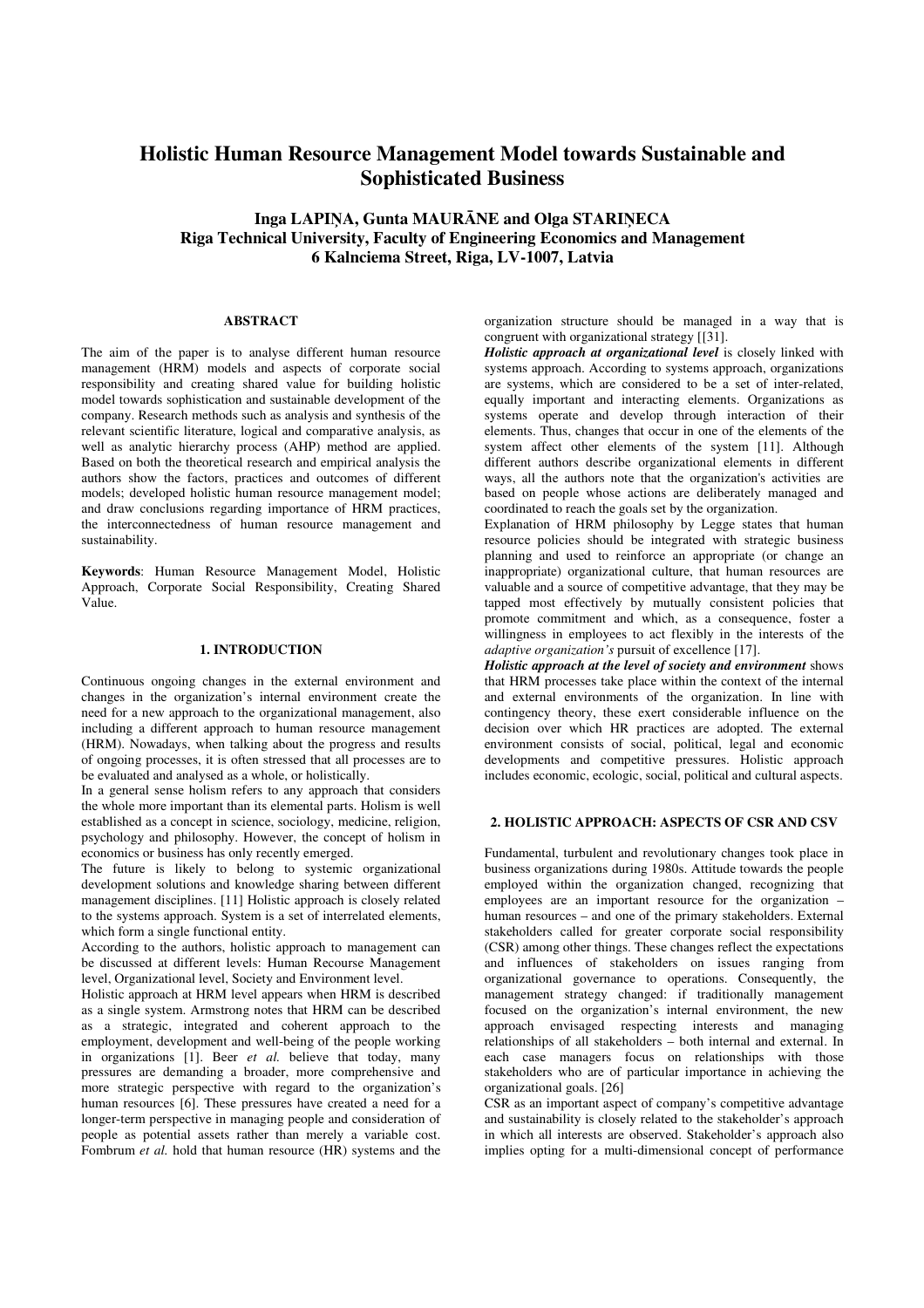# **Holistic Human Resource Management Model towards Sustainable and Sophisticated Business**

**Inga LAPI**Ņ**A, Gunta MAUR**Ā**NE and Olga STARI**Ņ**ECA Riga Technical University, Faculty of Engineering Economics and Management 6 Kalnciema Street, Riga, LV-1007, Latvia** 

### **ABSTRACT**

The aim of the paper is to analyse different human resource management (HRM) models and aspects of corporate social responsibility and creating shared value for building holistic model towards sophistication and sustainable development of the company. Research methods such as analysis and synthesis of the relevant scientific literature, logical and comparative analysis, as well as analytic hierarchy process (AHP) method are applied. Based on both the theoretical research and empirical analysis the authors show the factors, practices and outcomes of different models; developed holistic human resource management model; and draw conclusions regarding importance of HRM practices, the interconnectedness of human resource management and sustainability.

**Keywords**: Human Resource Management Model, Holistic Approach, Corporate Social Responsibility, Creating Shared Value.

#### **1. INTRODUCTION**

Continuous ongoing changes in the external environment and changes in the organization's internal environment create the need for a new approach to the organizational management, also including a different approach to human resource management (HRM). Nowadays, when talking about the progress and results of ongoing processes, it is often stressed that all processes are to be evaluated and analysed as a whole, or holistically.

In a general sense holism refers to any approach that considers the whole more important than its elemental parts. Holism is well established as a concept in science, sociology, medicine, religion, psychology and philosophy. However, the concept of holism in economics or business has only recently emerged.

The future is likely to belong to systemic organizational development solutions and knowledge sharing between different management disciplines. [11] Holistic approach is closely related to the systems approach. System is a set of interrelated elements, which form a single functional entity.

According to the authors, holistic approach to management can be discussed at different levels: Human Recourse Management level, Organizational level, Society and Environment level.

Holistic approach at HRM level appears when HRM is described as a single system. Armstrong notes that HRM can be described as a strategic, integrated and coherent approach to the employment, development and well-being of the people working in organizations [1]. Beer *et al.* believe that today, many pressures are demanding a broader, more comprehensive and more strategic perspective with regard to the organization's human resources [6]. These pressures have created a need for a longer-term perspective in managing people and consideration of people as potential assets rather than merely a variable cost. Fombrum *et al.* hold that human resource (HR) systems and the organization structure should be managed in a way that is congruent with organizational strategy [[31].

*Holistic approach at organizational level* is closely linked with systems approach. According to systems approach, organizations are systems, which are considered to be a set of inter-related, equally important and interacting elements. Organizations as systems operate and develop through interaction of their elements. Thus, changes that occur in one of the elements of the system affect other elements of the system [11]. Although different authors describe organizational elements in different ways, all the authors note that the organization's activities are based on people whose actions are deliberately managed and coordinated to reach the goals set by the organization.

Explanation of HRM philosophy by Legge states that human resource policies should be integrated with strategic business planning and used to reinforce an appropriate (or change an inappropriate) organizational culture, that human resources are valuable and a source of competitive advantage, that they may be tapped most effectively by mutually consistent policies that promote commitment and which, as a consequence, foster a willingness in employees to act flexibly in the interests of the *adaptive organization's* pursuit of excellence [17].

*Holistic approach at the level of society and environment* shows that HRM processes take place within the context of the internal and external environments of the organization. In line with contingency theory, these exert considerable influence on the decision over which HR practices are adopted. The external environment consists of social, political, legal and economic developments and competitive pressures. Holistic approach includes economic, ecologic, social, political and cultural aspects.

# **2. HOLISTIC APPROACH: ASPECTS OF CSR AND CSV**

Fundamental, turbulent and revolutionary changes took place in business organizations during 1980s. Attitude towards the people employed within the organization changed, recognizing that employees are an important resource for the organization – human resources – and one of the primary stakeholders. External stakeholders called for greater corporate social responsibility (CSR) among other things. These changes reflect the expectations and influences of stakeholders on issues ranging from organizational governance to operations. Consequently, the management strategy changed: if traditionally management focused on the organization's internal environment, the new approach envisaged respecting interests and managing relationships of all stakeholders – both internal and external. In each case managers focus on relationships with those stakeholders who are of particular importance in achieving the organizational goals. [26]

CSR as an important aspect of company's competitive advantage and sustainability is closely related to the stakeholder's approach in which all interests are observed. Stakeholder's approach also implies opting for a multi-dimensional concept of performance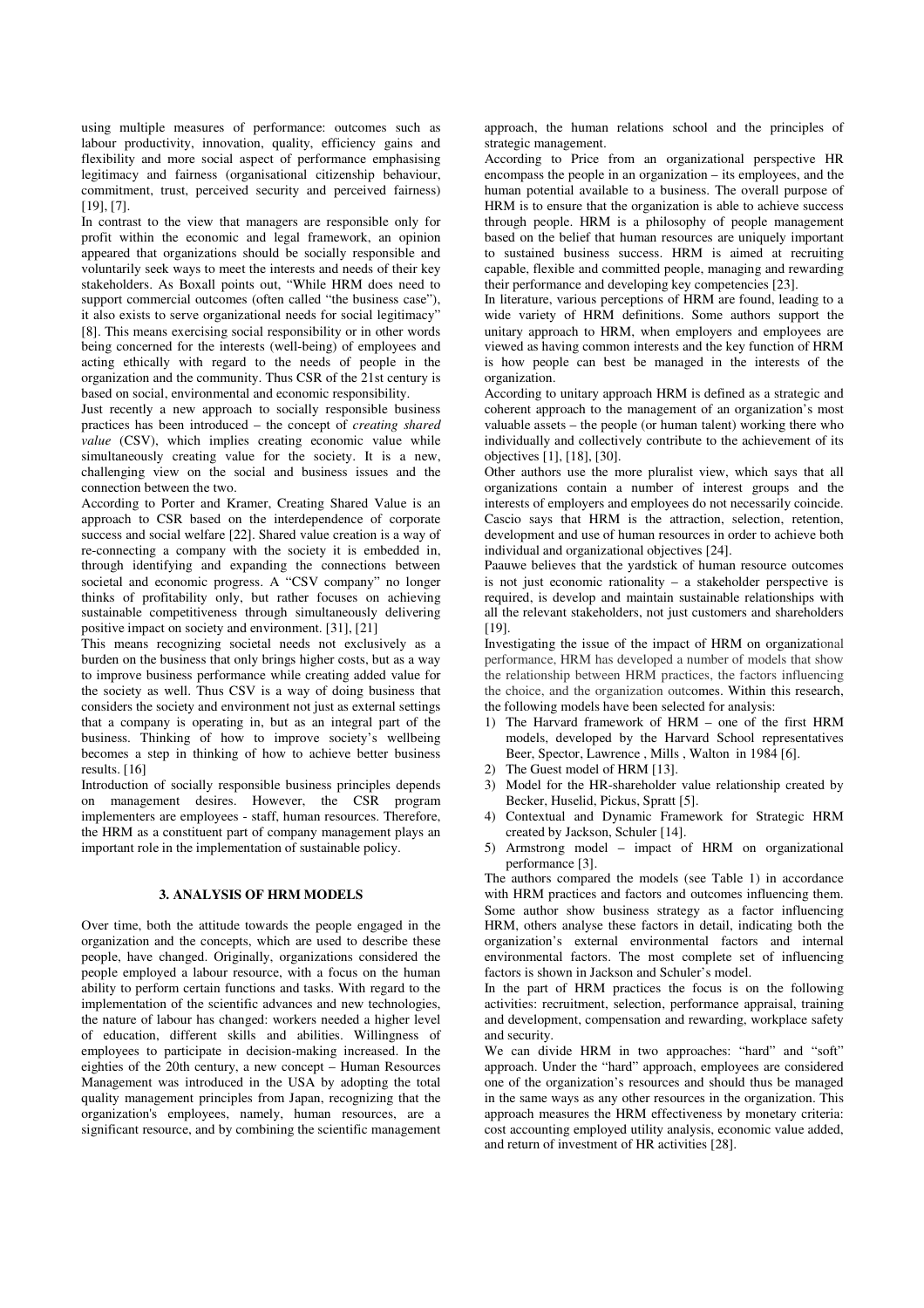using multiple measures of performance: outcomes such as labour productivity, innovation, quality, efficiency gains and flexibility and more social aspect of performance emphasising legitimacy and fairness (organisational citizenship behaviour, commitment, trust, perceived security and perceived fairness) [19], [7].

In contrast to the view that managers are responsible only for profit within the economic and legal framework, an opinion appeared that organizations should be socially responsible and voluntarily seek ways to meet the interests and needs of their key stakeholders. As Boxall points out, "While HRM does need to support commercial outcomes (often called "the business case"), it also exists to serve organizational needs for social legitimacy" [8]. This means exercising social responsibility or in other words being concerned for the interests (well-being) of employees and acting ethically with regard to the needs of people in the organization and the community. Thus CSR of the 21st century is based on social, environmental and economic responsibility.

Just recently a new approach to socially responsible business practices has been introduced – the concept of *creating shared value* (CSV), which implies creating economic value while simultaneously creating value for the society. It is a new, challenging view on the social and business issues and the connection between the two.

According to Porter and Kramer, Creating Shared Value is an approach to CSR based on the interdependence of corporate success and social welfare [22]. Shared value creation is a way of re-connecting a company with the society it is embedded in, through identifying and expanding the connections between societal and economic progress. A "CSV company" no longer thinks of profitability only, but rather focuses on achieving sustainable competitiveness through simultaneously delivering positive impact on society and environment. [31], [21]

This means recognizing societal needs not exclusively as a burden on the business that only brings higher costs, but as a way to improve business performance while creating added value for the society as well. Thus CSV is a way of doing business that considers the society and environment not just as external settings that a company is operating in, but as an integral part of the business. Thinking of how to improve society's wellbeing becomes a step in thinking of how to achieve better business results. [16]

Introduction of socially responsible business principles depends on management desires. However, the CSR program implementers are employees - staff, human resources. Therefore, the HRM as a constituent part of company management plays an important role in the implementation of sustainable policy.

# **3. ANALYSIS OF HRM MODELS**

Over time, both the attitude towards the people engaged in the organization and the concepts, which are used to describe these people, have changed. Originally, organizations considered the people employed a labour resource, with a focus on the human ability to perform certain functions and tasks. With regard to the implementation of the scientific advances and new technologies, the nature of labour has changed: workers needed a higher level of education, different skills and abilities. Willingness of employees to participate in decision-making increased. In the eighties of the 20th century, a new concept – Human Resources Management was introduced in the USA by adopting the total quality management principles from Japan, recognizing that the organization's employees, namely, human resources, are a significant resource, and by combining the scientific management approach, the human relations school and the principles of strategic management.

According to Price from an organizational perspective HR encompass the people in an organization – its employees, and the human potential available to a business. The overall purpose of HRM is to ensure that the organization is able to achieve success through people. HRM is a philosophy of people management based on the belief that human resources are uniquely important to sustained business success. HRM is aimed at recruiting capable, flexible and committed people, managing and rewarding their performance and developing key competencies [23].

In literature, various perceptions of HRM are found, leading to a wide variety of HRM definitions. Some authors support the unitary approach to HRM, when employers and employees are viewed as having common interests and the key function of HRM is how people can best be managed in the interests of the organization.

According to unitary approach HRM is defined as a strategic and coherent approach to the management of an organization's most valuable assets – the people (or human talent) working there who individually and collectively contribute to the achievement of its objectives [1], [18], [30].

Other authors use the more pluralist view, which says that all organizations contain a number of interest groups and the interests of employers and employees do not necessarily coincide. Cascio says that HRM is the attraction, selection, retention, development and use of human resources in order to achieve both individual and organizational objectives [24].

Paauwe believes that the yardstick of human resource outcomes is not just economic rationality – a stakeholder perspective is required, is develop and maintain sustainable relationships with all the relevant stakeholders, not just customers and shareholders [19].

Investigating the issue of the impact of HRM on organizational performance, HRM has developed a number of models that show the relationship between HRM practices, the factors influencing the choice, and the organization outcomes. Within this research, the following models have been selected for analysis:

- 1) The Harvard framework of HRM one of the first HRM models, developed by the Harvard School representatives Beer, Spector, Lawrence , Mills , Walton in 1984 [6].
- 2) The Guest model of HRM [13].
- 3) Model for the HR-shareholder value relationship created by Becker, Huselid, Pickus, Spratt [5].
- 4) Contextual and Dynamic Framework for Strategic HRM created by Jackson, Schuler [14].
- 5) Armstrong model impact of HRM on organizational performance [3].

The authors compared the models (see Table 1) in accordance with HRM practices and factors and outcomes influencing them. Some author show business strategy as a factor influencing HRM, others analyse these factors in detail, indicating both the organization's external environmental factors and internal environmental factors. The most complete set of influencing factors is shown in Jackson and Schuler's model.

In the part of HRM practices the focus is on the following activities: recruitment, selection, performance appraisal, training and development, compensation and rewarding, workplace safety and security.

We can divide HRM in two approaches: "hard" and "soft" approach. Under the "hard" approach, employees are considered one of the organization's resources and should thus be managed in the same ways as any other resources in the organization. This approach measures the HRM effectiveness by monetary criteria: cost accounting employed utility analysis, economic value added, and return of investment of HR activities [28].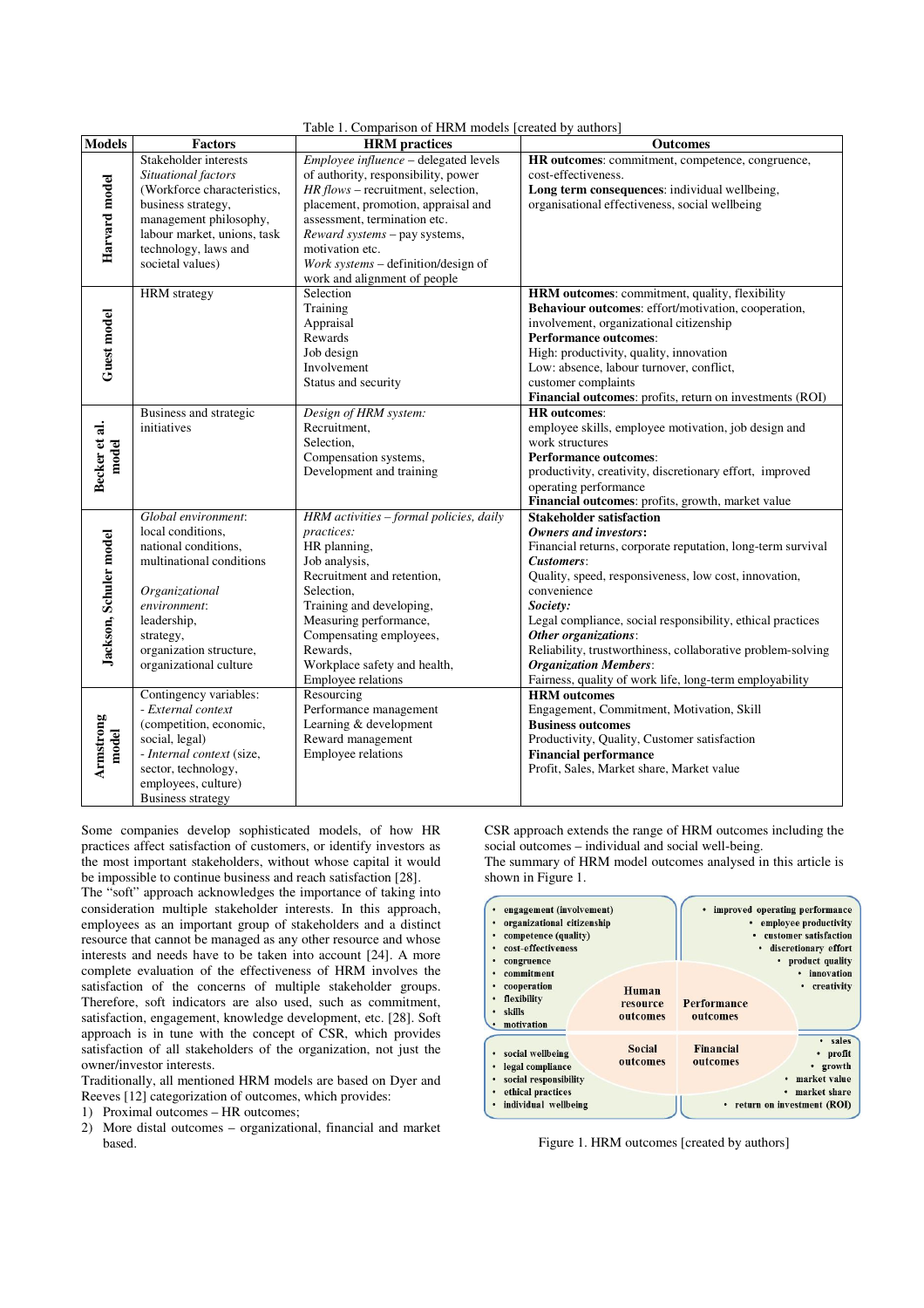|                        | Table 1. Comparison of HRM models [created by authors]                                                                                                                                                          |                                                                                                                                                                                                                                                                                                                      |                                                                                                                                                                                                                                                                                                                                                                                                                                                                                  |  |  |  |
|------------------------|-----------------------------------------------------------------------------------------------------------------------------------------------------------------------------------------------------------------|----------------------------------------------------------------------------------------------------------------------------------------------------------------------------------------------------------------------------------------------------------------------------------------------------------------------|----------------------------------------------------------------------------------------------------------------------------------------------------------------------------------------------------------------------------------------------------------------------------------------------------------------------------------------------------------------------------------------------------------------------------------------------------------------------------------|--|--|--|
| <b>Models</b>          | <b>Factors</b>                                                                                                                                                                                                  | <b>HRM</b> practices                                                                                                                                                                                                                                                                                                 | <b>Outcomes</b>                                                                                                                                                                                                                                                                                                                                                                                                                                                                  |  |  |  |
| Harvard model          | Stakeholder interests<br>Situational factors<br>(Workforce characteristics,<br>business strategy,<br>management philosophy,<br>labour market, unions, task<br>technology, laws and<br>societal values)          | Employee influence - delegated levels<br>of authority, responsibility, power<br>HR flows - recruitment, selection,<br>placement, promotion, appraisal and<br>assessment, termination etc.<br>Reward systems - pay systems,<br>motivation etc.<br>Work systems - definition/design of<br>work and alignment of people | HR outcomes: commitment, competence, congruence,<br>cost-effectiveness.<br>Long term consequences: individual wellbeing,<br>organisational effectiveness, social wellbeing                                                                                                                                                                                                                                                                                                       |  |  |  |
| Guest model            | <b>HRM</b> strategy                                                                                                                                                                                             | Selection<br>Training<br>Appraisal<br>Rewards<br>Job design<br>Involvement<br>Status and security                                                                                                                                                                                                                    | HRM outcomes: commitment, quality, flexibility<br>Behaviour outcomes: effort/motivation, cooperation,<br>involvement, organizational citizenship<br><b>Performance outcomes:</b><br>High: productivity, quality, innovation<br>Low: absence, labour turnover, conflict,<br>customer complaints<br>Financial outcomes: profits, return on investments (ROI)                                                                                                                       |  |  |  |
| Becker et al.<br>model | Business and strategic<br>initiatives                                                                                                                                                                           | Design of HRM system:<br>Recruitment.<br>Selection,<br>Compensation systems,<br>Development and training                                                                                                                                                                                                             | <b>HR</b> outcomes:<br>employee skills, employee motivation, job design and<br>work structures<br><b>Performance outcomes:</b><br>productivity, creativity, discretionary effort, improved<br>operating performance<br>Financial outcomes: profits, growth, market value                                                                                                                                                                                                         |  |  |  |
| Jackson, Schuler model | Global environment:<br>local conditions,<br>national conditions,<br>multinational conditions<br>Organizational<br>environment:<br>leadership,<br>strategy,<br>organization structure,<br>organizational culture | HRM activities - formal policies, daily<br>practices:<br>HR planning,<br>Job analysis,<br>Recruitment and retention,<br>Selection,<br>Training and developing,<br>Measuring performance,<br>Compensating employees,<br>Rewards.<br>Workplace safety and health,<br>Employee relations                                | <b>Stakeholder satisfaction</b><br><b>Owners and investors:</b><br>Financial returns, corporate reputation, long-term survival<br>Customers:<br>Quality, speed, responsiveness, low cost, innovation,<br>convenience<br>Society:<br>Legal compliance, social responsibility, ethical practices<br>Other organizations:<br>Reliability, trustworthiness, collaborative problem-solving<br><b>Organization Members:</b><br>Fairness, quality of work life, long-term employability |  |  |  |
| Armstrong<br>model     | Contingency variables:<br>- External context<br>(competition, economic,<br>social, legal)<br>- Internal context (size,<br>sector, technology,<br>employees, culture)<br><b>Business strategy</b>                | Resourcing<br>Performance management<br>Learning & development<br>Reward management<br>Employee relations                                                                                                                                                                                                            | <b>HRM</b> outcomes<br>Engagement, Commitment, Motivation, Skill<br><b>Business outcomes</b><br>Productivity, Quality, Customer satisfaction<br><b>Financial performance</b><br>Profit, Sales, Market share, Market value                                                                                                                                                                                                                                                        |  |  |  |

Some companies develop sophisticated models, of how HR practices affect satisfaction of customers, or identify investors as the most important stakeholders, without whose capital it would be impossible to continue business and reach satisfaction [28].

The "soft" approach acknowledges the importance of taking into consideration multiple stakeholder interests. In this approach, employees as an important group of stakeholders and a distinct resource that cannot be managed as any other resource and whose interests and needs have to be taken into account [24]. A more complete evaluation of the effectiveness of HRM involves the satisfaction of the concerns of multiple stakeholder groups. Therefore, soft indicators are also used, such as commitment, satisfaction, engagement, knowledge development, etc. [28]. Soft approach is in tune with the concept of CSR, which provides satisfaction of all stakeholders of the organization, not just the owner/investor interests.

Traditionally, all mentioned HRM models are based on Dyer and Reeves [12] categorization of outcomes, which provides:

1) Proximal outcomes – HR outcomes;

2) More distal outcomes – organizational, financial and market based.

CSR approach extends the range of HRM outcomes including the social outcomes – individual and social well-being. The summary of HRM model outcomes analysed in this article is shown in Figure 1.

| engagement (involvement)<br>organizational citizenship | improved operating performance<br>• employee productivity<br>customer satisfaction<br>· discretionary effort<br>product quality<br>· innovation   |
|--------------------------------------------------------|---------------------------------------------------------------------------------------------------------------------------------------------------|
| Human<br>resource<br>outcomes                          | creativity<br>٠<br>Performance<br>outcomes                                                                                                        |
| <b>Social</b><br>outcomes                              | sales<br>$\bullet$<br>Financial<br>profit<br>$\bullet$<br>outcomes<br>growth<br>• market value<br>market share<br>٠<br>return on investment (ROI) |
|                                                        |                                                                                                                                                   |

Figure 1. HRM outcomes [created by authors]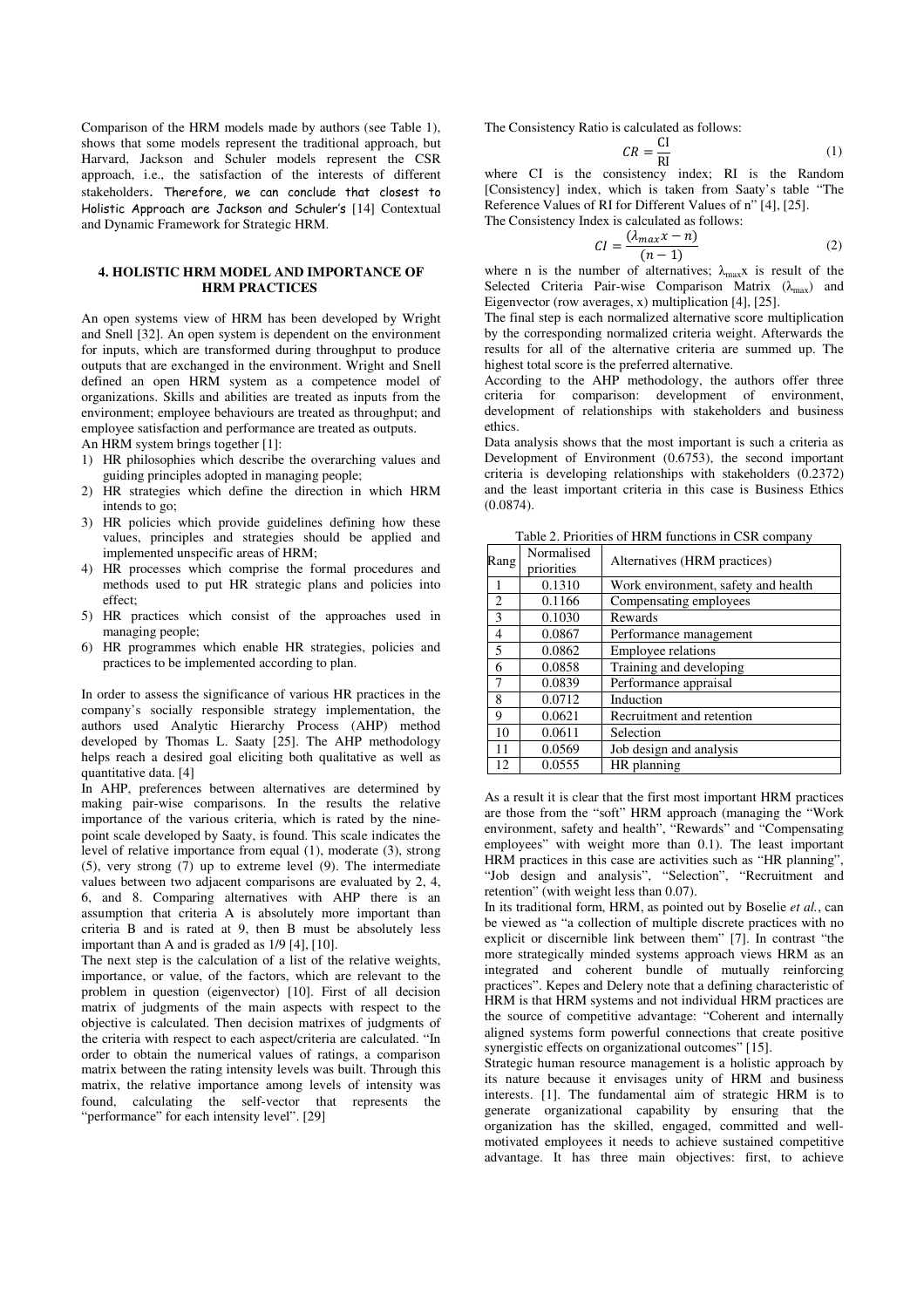Comparison of the HRM models made by authors (see Table 1), shows that some models represent the traditional approach, but Harvard, Jackson and Schuler models represent the CSR approach, i.e., the satisfaction of the interests of different stakeholders. Therefore, we can conclude that closest to Holistic Approach are Jackson and Schuler's [14] Contextual and Dynamic Framework for Strategic HRM.

# **4. HOLISTIC HRM MODEL AND IMPORTANCE OF HRM PRACTICES**

An open systems view of HRM has been developed by Wright and Snell [32]. An open system is dependent on the environment for inputs, which are transformed during throughput to produce outputs that are exchanged in the environment. Wright and Snell defined an open HRM system as a competence model of organizations. Skills and abilities are treated as inputs from the environment; employee behaviours are treated as throughput; and employee satisfaction and performance are treated as outputs.

An HRM system brings together [1]:

- 1) HR philosophies which describe the overarching values and guiding principles adopted in managing people;
- 2) HR strategies which define the direction in which HRM intends to go;
- 3) HR policies which provide guidelines defining how these values, principles and strategies should be applied and implemented unspecific areas of HRM;
- 4) HR processes which comprise the formal procedures and methods used to put HR strategic plans and policies into effect;
- 5) HR practices which consist of the approaches used in managing people;
- 6) HR programmes which enable HR strategies, policies and practices to be implemented according to plan.

In order to assess the significance of various HR practices in the company's socially responsible strategy implementation, the authors used Analytic Hierarchy Process (AHP) method developed by Thomas L. Saaty [25]. The AHP methodology helps reach a desired goal eliciting both qualitative as well as quantitative data. [4]

In AHP, preferences between alternatives are determined by making pair-wise comparisons. In the results the relative importance of the various criteria, which is rated by the ninepoint scale developed by Saaty, is found. This scale indicates the level of relative importance from equal (1), moderate (3), strong (5), very strong (7) up to extreme level (9). The intermediate values between two adjacent comparisons are evaluated by 2, 4, 6, and 8. Comparing alternatives with AHP there is an assumption that criteria A is absolutely more important than criteria B and is rated at 9, then B must be absolutely less important than A and is graded as 1/9 [4], [10].

The next step is the calculation of a list of the relative weights, importance, or value, of the factors, which are relevant to the problem in question (eigenvector) [10]. First of all decision matrix of judgments of the main aspects with respect to the objective is calculated. Then decision matrixes of judgments of the criteria with respect to each aspect/criteria are calculated. "In order to obtain the numerical values of ratings, a comparison matrix between the rating intensity levels was built. Through this matrix, the relative importance among levels of intensity was found, calculating the self-vector that represents the "performance" for each intensity level". [29]

The Consistency Ratio is calculated as follows:

$$
CR = \frac{CI}{RI}
$$
 (1)

where CI is the consistency index; RI is the Random [Consistency] index, which is taken from Saaty's table "The Reference Values of RI for Different Values of n" [4], [25]. The Consistency Index is calculated as follows:

$$
CI = \frac{(\lambda_{max} x - n)}{(n-1)}
$$
 (2)

where n is the number of alternatives;  $\lambda_{\text{max}}$  is result of the Selected Criteria Pair-wise Comparison Matrix  $(\lambda_{\text{max}})$  and Eigenvector (row averages, x) multiplication [4], [25].

The final step is each normalized alternative score multiplication by the corresponding normalized criteria weight. Afterwards the results for all of the alternative criteria are summed up. The highest total score is the preferred alternative.

According to the AHP methodology, the authors offer three criteria for comparison: development of environment, development of relationships with stakeholders and business ethics.

Data analysis shows that the most important is such a criteria as Development of Environment (0.6753), the second important criteria is developing relationships with stakeholders (0.2372) and the least important criteria in this case is Business Ethics (0.0874).

Table 2. Priorities of HRM functions in CSR company

| raoic 2. I fiornics of firm functions in Core company |                          |                                     |  |  |
|-------------------------------------------------------|--------------------------|-------------------------------------|--|--|
| Rang                                                  | Normalised<br>priorities | Alternatives (HRM practices)        |  |  |
| 1                                                     | 0.1310                   | Work environment, safety and health |  |  |
| $\overline{2}$                                        | 0.1166                   | Compensating employees              |  |  |
| 3                                                     | 0.1030                   | Rewards                             |  |  |
| 4                                                     | 0.0867                   | Performance management              |  |  |
| 5                                                     | 0.0862                   | <b>Employee relations</b>           |  |  |
| 6                                                     | 0.0858                   | Training and developing             |  |  |
| 7                                                     | 0.0839                   | Performance appraisal               |  |  |
| 8                                                     | 0.0712                   | Induction                           |  |  |
| 9                                                     | 0.0621                   | Recruitment and retention           |  |  |
| 10                                                    | 0.0611                   | Selection                           |  |  |
| 11                                                    | 0.0569                   | Job design and analysis             |  |  |
| 12                                                    | 0.0555                   | HR planning                         |  |  |

As a result it is clear that the first most important HRM practices are those from the "soft" HRM approach (managing the "Work environment, safety and health", "Rewards" and "Compensating employees" with weight more than 0.1). The least important HRM practices in this case are activities such as "HR planning", "Job design and analysis", "Selection", "Recruitment and retention" (with weight less than 0.07).

In its traditional form, HRM, as pointed out by Boselie *et al.*, can be viewed as "a collection of multiple discrete practices with no explicit or discernible link between them" [7]. In contrast "the more strategically minded systems approach views HRM as an integrated and coherent bundle of mutually reinforcing practices". Kepes and Delery note that a defining characteristic of HRM is that HRM systems and not individual HRM practices are the source of competitive advantage: "Coherent and internally aligned systems form powerful connections that create positive synergistic effects on organizational outcomes" [15].

Strategic human resource management is a holistic approach by its nature because it envisages unity of HRM and business interests. [1]. The fundamental aim of strategic HRM is to generate organizational capability by ensuring that the organization has the skilled, engaged, committed and wellmotivated employees it needs to achieve sustained competitive advantage. It has three main objectives: first, to achieve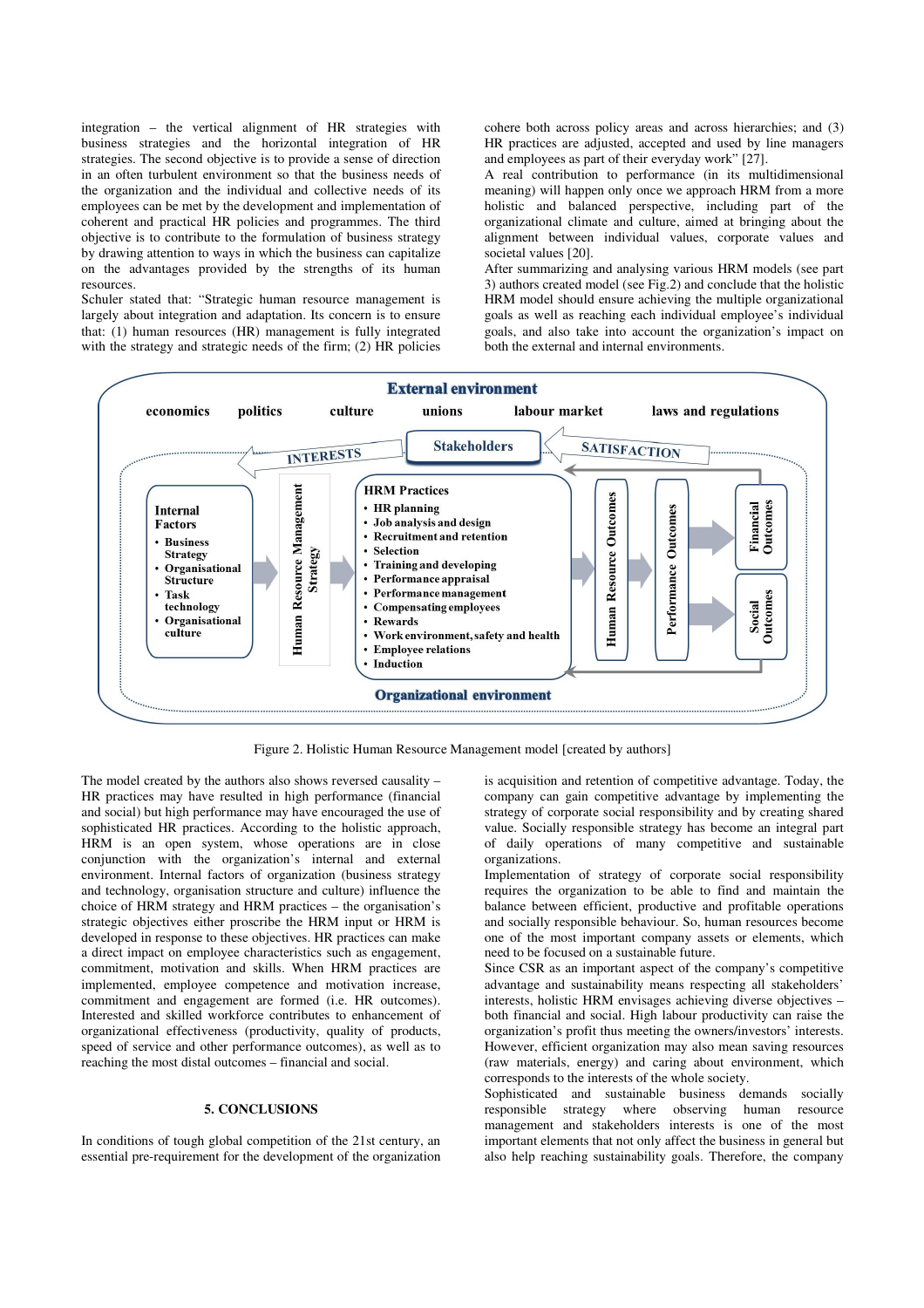integration – the vertical alignment of HR strategies with business strategies and the horizontal integration of HR strategies. The second objective is to provide a sense of direction in an often turbulent environment so that the business needs of the organization and the individual and collective needs of its employees can be met by the development and implementation of coherent and practical HR policies and programmes. The third objective is to contribute to the formulation of business strategy by drawing attention to ways in which the business can capitalize on the advantages provided by the strengths of its human resources.

Schuler stated that: "Strategic human resource management is largely about integration and adaptation. Its concern is to ensure that: (1) human resources (HR) management is fully integrated with the strategy and strategic needs of the firm; (2) HR policies cohere both across policy areas and across hierarchies; and (3) HR practices are adjusted, accepted and used by line managers and employees as part of their everyday work" [27].

A real contribution to performance (in its multidimensional meaning) will happen only once we approach HRM from a more holistic and balanced perspective, including part of the organizational climate and culture, aimed at bringing about the alignment between individual values, corporate values and societal values [20].

After summarizing and analysing various HRM models (see part 3) authors created model (see Fig.2) and conclude that the holistic HRM model should ensure achieving the multiple organizational goals as well as reaching each individual employee's individual goals, and also take into account the organization's impact on both the external and internal environments.



Figure 2. Holistic Human Resource Management model [created by authors]

The model created by the authors also shows reversed causality – HR practices may have resulted in high performance (financial and social) but high performance may have encouraged the use of sophisticated HR practices. According to the holistic approach, HRM is an open system, whose operations are in close conjunction with the organization's internal and external environment. Internal factors of organization (business strategy and technology, organisation structure and culture) influence the choice of HRM strategy and HRM practices – the organisation's strategic objectives either proscribe the HRM input or HRM is developed in response to these objectives. HR practices can make a direct impact on employee characteristics such as engagement, commitment, motivation and skills. When HRM practices are implemented, employee competence and motivation increase, commitment and engagement are formed (i.e. HR outcomes). Interested and skilled workforce contributes to enhancement of organizational effectiveness (productivity, quality of products, speed of service and other performance outcomes), as well as to reaching the most distal outcomes – financial and social.

# **5. CONCLUSIONS**

In conditions of tough global competition of the 21st century, an essential pre-requirement for the development of the organization is acquisition and retention of competitive advantage. Today, the company can gain competitive advantage by implementing the strategy of corporate social responsibility and by creating shared value. Socially responsible strategy has become an integral part of daily operations of many competitive and sustainable organizations.

Implementation of strategy of corporate social responsibility requires the organization to be able to find and maintain the balance between efficient, productive and profitable operations and socially responsible behaviour. So, human resources become one of the most important company assets or elements, which need to be focused on a sustainable future.

Since CSR as an important aspect of the company's competitive advantage and sustainability means respecting all stakeholders' interests, holistic HRM envisages achieving diverse objectives – both financial and social. High labour productivity can raise the organization's profit thus meeting the owners/investors' interests. However, efficient organization may also mean saving resources (raw materials, energy) and caring about environment, which corresponds to the interests of the whole society.

Sophisticated and sustainable business demands socially responsible strategy where observing human resource where observing human resource management and stakeholders interests is one of the most important elements that not only affect the business in general but also help reaching sustainability goals. Therefore, the company